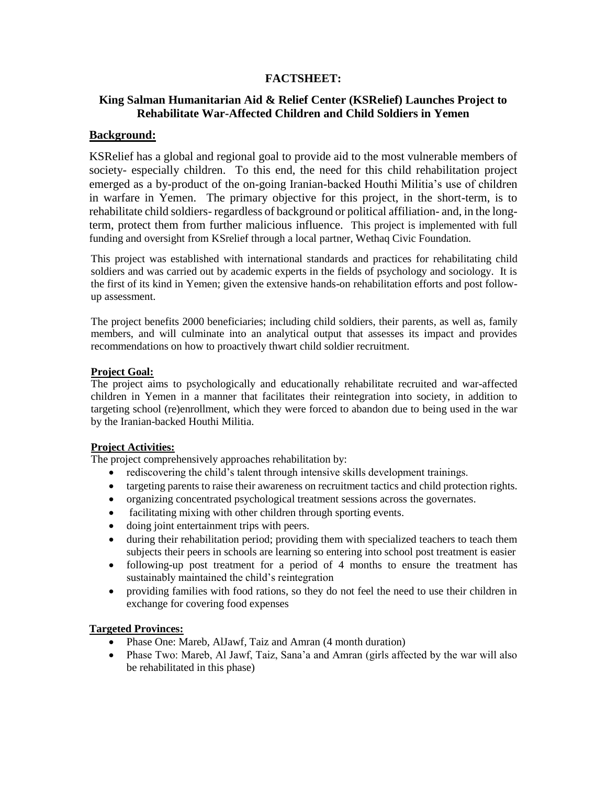## **FACTSHEET:**

# **King Salman Humanitarian Aid & Relief Center (KSRelief) Launches Project to Rehabilitate War-Affected Children and Child Soldiers in Yemen**

## **Background:**

KSRelief has a global and regional goal to provide aid to the most vulnerable members of society- especially children. To this end, the need for this child rehabilitation project emerged as a by-product of the on-going Iranian-backed Houthi Militia's use of children in warfare in Yemen. The primary objective for this project, in the short-term, is to rehabilitate child soldiers- regardless of background or political affiliation- and, in the longterm, protect them from further malicious influence. This project is implemented with full funding and oversight from KSrelief through a local partner, Wethaq Civic Foundation.

This project was established with international standards and practices for rehabilitating child soldiers and was carried out by academic experts in the fields of psychology and sociology. It is the first of its kind in Yemen; given the extensive hands-on rehabilitation efforts and post followup assessment.

The project benefits 2000 beneficiaries; including child soldiers, their parents, as well as, family members, and will culminate into an analytical output that assesses its impact and provides recommendations on how to proactively thwart child soldier recruitment.

### **Project Goal:**

The project aims to psychologically and educationally rehabilitate recruited and war-affected children in Yemen in a manner that facilitates their reintegration into society, in addition to targeting school (re)enrollment, which they were forced to abandon due to being used in the war by the Iranian-backed Houthi Militia.

#### **Project Activities:**

The project comprehensively approaches rehabilitation by:

- rediscovering the child's talent through intensive skills development trainings.
- targeting parents to raise their awareness on recruitment tactics and child protection rights.
- organizing concentrated psychological treatment sessions across the governates.
- facilitating mixing with other children through sporting events.
- doing joint entertainment trips with peers.
- during their rehabilitation period; providing them with specialized teachers to teach them subjects their peers in schools are learning so entering into school post treatment is easier
- following-up post treatment for a period of 4 months to ensure the treatment has sustainably maintained the child's reintegration
- providing families with food rations, so they do not feel the need to use their children in exchange for covering food expenses

## **Targeted Provinces:**

- Phase One: Mareb, AlJawf, Taiz and Amran (4 month duration)
- Phase Two: Mareb, Al Jawf, Taiz, Sana'a and Amran (girls affected by the war will also be rehabilitated in this phase)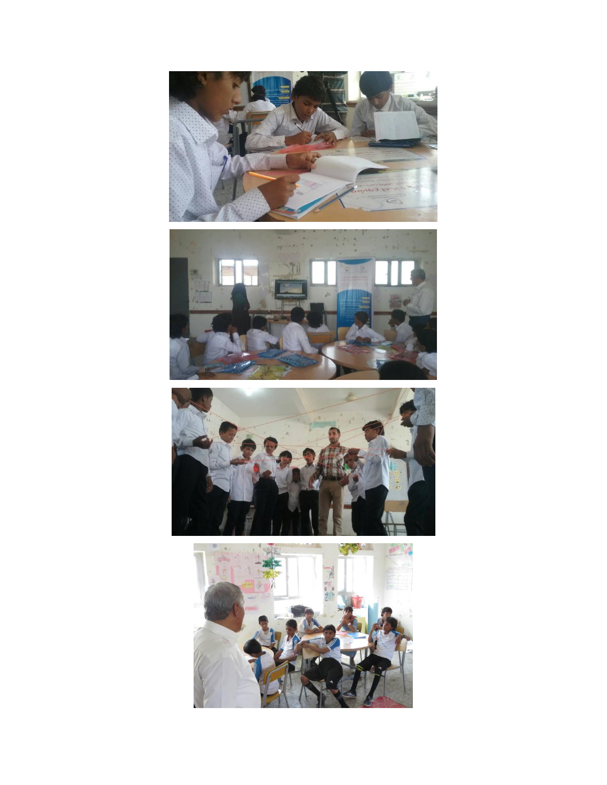





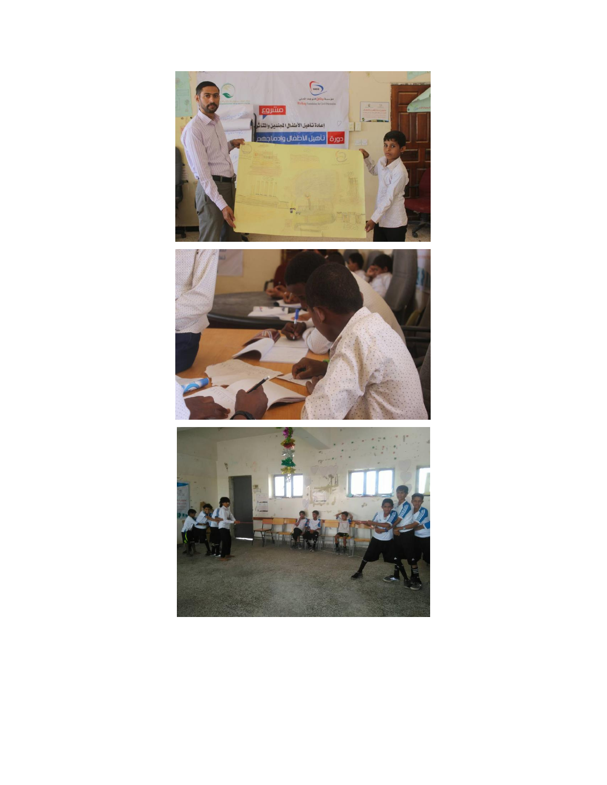